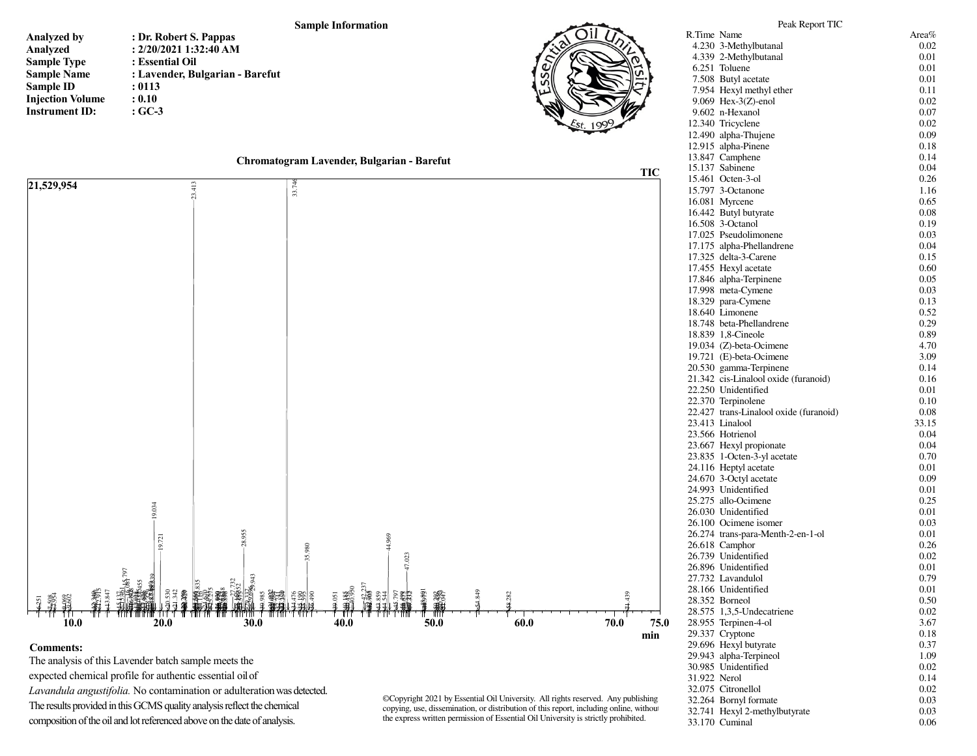## **Sample Information**

**Analyzed byAnalyzed Sample Type Sample NameSample ID Injection VolumeInstrument ID:: Dr. Robert S. Pappas : 2/20/2021 1:32:40 AM: Essential Oil : Lavender, Bulgarian - Barefut: 0113 : 0.10: GC-3**





## **Comments:**

 The analysis of this Lavender batch sample meets the expected chemical profile for authentic essential oil of *Lavandula angustifolia.* No contamination or adulteration was detected. The results provided in this GCMS quality analysis reflect the chemical composition of the oil and lot referenced above on the date of analysis.

©Copyright 2021 by Essential Oil University. All rights reserved. Any publishing, copying, use, dissemination, or distribution of this report, including online, without the express written permission of Essential Oil University is strictly prohibited.

|              | 7.508 Butyl acetate                                            | $_{0.01}$    |
|--------------|----------------------------------------------------------------|--------------|
|              | 7.954 Hexyl methyl ether                                       | 0.11         |
|              | 9.069 Hex-3(Z)-enol                                            | 0.02         |
|              | 9.602 n-Hexanol                                                | 0.07         |
|              | 12.340 Tricyclene                                              | 0.02         |
|              | 12.490 alpha-Thujene                                           | 0.09         |
|              | 12.915 alpha-Pinene                                            | 0.18         |
|              | 13.847 Camphene                                                | 0.14         |
|              | 15.137 Sabinene                                                | 0.04         |
|              | 15.461 Octen-3-ol                                              | 0.26         |
|              | 15.797 3-Octanone                                              | 1.16         |
|              | 16.081 Myrcene                                                 | 0.65         |
|              | 16.442 Butyl butyrate                                          | 0.08         |
|              | 16.508 3-Octanol                                               | 0.19         |
|              | 17.025 Pseudolimonene                                          | 0.03         |
|              | 17.175 alpha-Phellandrene                                      | 0.04         |
|              | 17.325 delta-3-Carene                                          | 0.15         |
|              | 17.455 Hexyl acetate                                           | 0.60         |
|              | 17.846 alpha-Terpinene                                         | 0.05         |
|              | 17.998 meta-Cymene                                             | 0.03         |
|              | 18.329 para-Cymene                                             | 0.13         |
|              | 18.640 Limonene                                                | 0.52         |
|              |                                                                | 0.29         |
|              | 18.748 beta-Phellandrene                                       |              |
|              | 18.839 1,8-Cineole<br>19.034 (Z)-beta-Ocimene                  | 0.89         |
|              |                                                                | 4.70<br>3.09 |
|              | 19.721 (E)-beta-Ocimene                                        | 0.14         |
|              | 20.530 gamma-Terpinene<br>21.342 cis-Linalool oxide (furanoid) |              |
|              | 22.250 Unidentified                                            | 0.16<br>0.01 |
|              | 22.370 Terpinolene                                             | 0.10         |
|              | 22.427 trans-Linalool oxide (furanoid)                         | 0.08         |
|              | 23.413 Linalool                                                | 33.15        |
|              | 23.566 Hotrienol                                               | 0.04         |
|              | 23.667 Hexyl propionate                                        | 0.04         |
|              | 23.835 1-Octen-3-yl acetate                                    | 0.70         |
|              | 24.116 Heptyl acetate                                          | 0.01         |
|              | 24.670 3-Octyl acetate                                         | 0.09         |
|              | 24.993 Unidentified                                            | 0.01         |
|              | 25.275 allo-Ocimene                                            | 0.25         |
|              | 26.030 Unidentified                                            | 0.01         |
|              | 26.100 Ocimene isomer                                          | 0.03         |
|              | 26.274 trans-para-Menth-2-en-1-ol                              | 0.01         |
|              | 26.618 Camphor                                                 | 0.26         |
|              | 26.739 Unidentified                                            | 0.02         |
|              | 26.896 Unidentified                                            | 0.01         |
|              | 27.732 Lavandulol                                              | 0.79         |
|              | 28.166 Unidentified                                            | 0.01         |
|              | 28.352 Borneol                                                 | 0.50         |
|              | 28.575 1,3,5-Undecatriene                                      | 0.02         |
|              | 28.955 Terpinen-4-ol                                           | 3.67         |
|              | 29.337 Cryptone                                                | 0.18         |
|              | 29.696 Hexyl butyrate                                          | 0.37         |
|              | 29.943 alpha-Terpineol                                         | 1.09         |
|              | 30.985 Unidentified                                            | 0.02         |
| 31.922 Nerol |                                                                | 0.14         |
|              | 32.075 Citronellol                                             | 0.02         |
|              | 32.264 Bornyl formate                                          | 0.03         |
|              | 32.741 Hexyl 2-methylbutyrate                                  | 0.03         |
|              | 33.170 Cuminal                                                 | 0.06         |
|              |                                                                |              |

Peak Report TICR.Time Name Area%

4.230 3-Methylbutanal

4.339 2-Methylbutanal

 $6.251$  Toluene

0.02

0.01

0.01